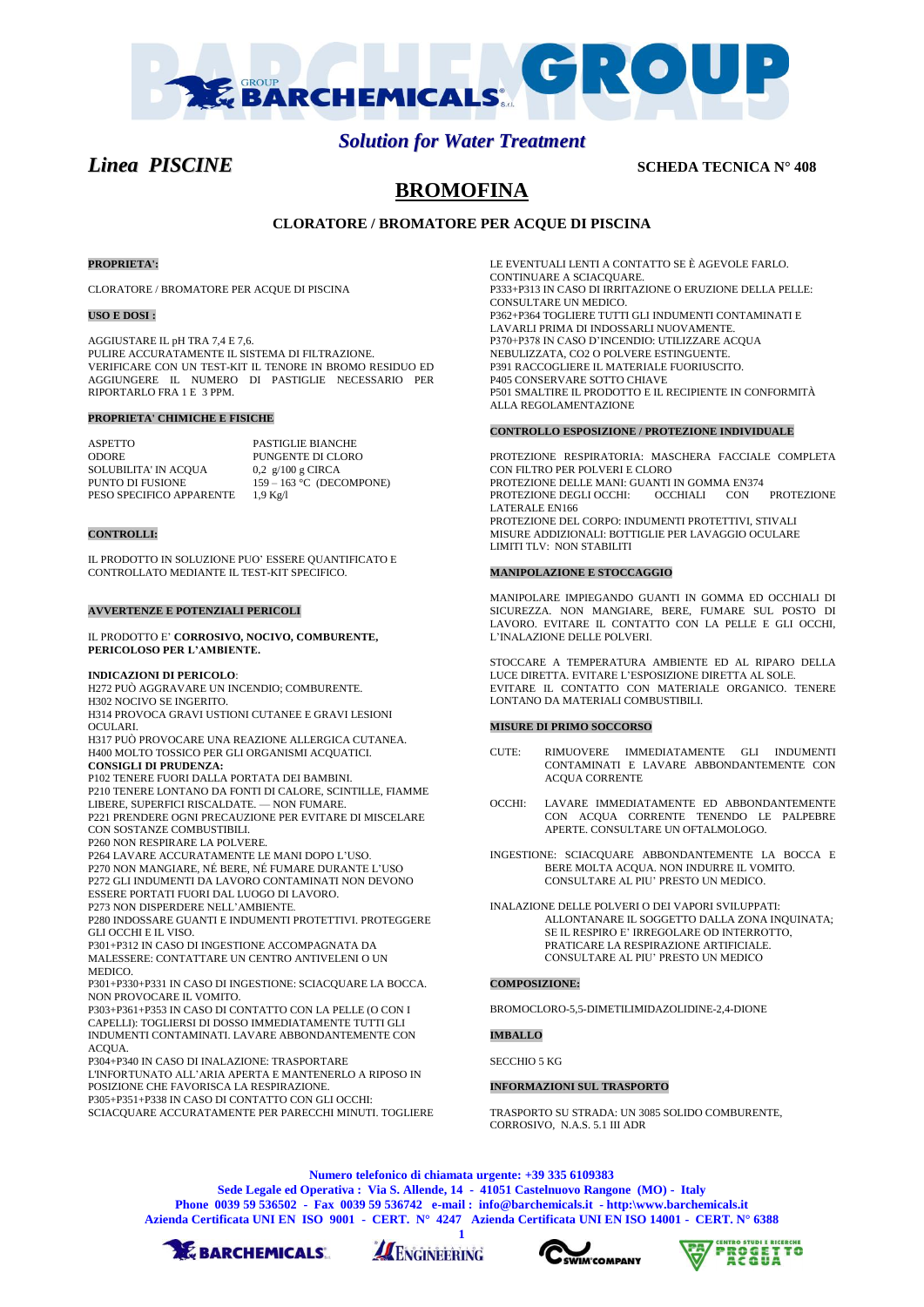

# *Solution for Water Treatment*

*Linea PISCINE* **SCHEDA TECNICA N° 408** 

# **BROMOFINA**

# **CLORATORE / BROMATORE PER ACQUE DI PISCINA**

### **PROPRIETA':**

CLORATORE / BROMATORE PER ACQUE DI PISCINA

#### **USO E DOSI :**

AGGIUSTARE IL pH TRA 7,4 E 7,6. PULIRE ACCURATAMENTE IL SISTEMA DI FILTRAZIONE. VERIFICARE CON UN TEST-KIT IL TENORE IN BROMO RESIDUO ED AGGIUNGERE IL NUMERO DI PASTIGLIE NECESSARIO PER RIPORTARLO FRA 1 E 3 PPM.

#### **PROPRIETA' CHIMICHE E FISICHE**

ASPETTO PASTIGLIE BIANCHE ODORE PUNGENTE DI CLORO SOLUBILITA' IN ACQUA  $0,2$   $g/100$   $g$  CIRCA SOLUBILITA' IN ACQUA<br>PUNTO DI FUSIONE  $159 - 163$  °C (DECOMPONE) PESO SPECIFICO APPARENTE 1,9 Kg/l

## **CONTROLLI:**

IL PRODOTTO IN SOLUZIONE PUO' ESSERE QUANTIFICATO E CONTROLLATO MEDIANTE IL TEST-KIT SPECIFICO.

### **AVVERTENZE E POTENZIALI PERICOLI**

IL PRODOTTO E' **CORROSIVO, NOCIVO, COMBURENTE, PERICOLOSO PER L'AMBIENTE.**

#### **INDICAZIONI DI PERICOLO**:

H272 PUÒ AGGRAVARE UN INCENDIO; COMBURENTE. H302 NOCIVO SE INGERITO.

H314 PROVOCA GRAVI USTIONI CUTANEE E GRAVI LESIONI OCULARI.

H317 PUÒ PROVOCARE UNA REAZIONE ALLERGICA CUTANEA. H400 MOLTO TOSSICO PER GLI ORGANISMI ACQUATICI. **CONSIGLI DI PRUDENZA:**

P102 TENERE FUORI DALLA PORTATA DEI BAMBINI.

P210 TENERE LONTANO DA FONTI DI CALORE, SCINTILLE, FIAMME LIBERE, SUPERFICI RISCALDATE. — NON FUMARE. P221 PRENDERE OGNI PRECAUZIONE PER EVITARE DI MISCELARE

CON SOSTANZE COMBUSTIBILI

P260 NON RESPIRARE LA POLVERE.

P264 LAVARE ACCURATAMENTE LE MANI DOPO L'USO. P270 NON MANGIARE, NÉ BERE, NÉ FUMARE DURANTE L'USO

P272 GLI INDUMENTI DA LAVORO CONTAMINATI NON DEVONO

ESSERE PORTATI FUORI DAL LUOGO DI LAVORO.

P273 NON DISPERDERE NELL'AMBIENTE.

P280 INDOSSARE GUANTI E INDUMENTI PROTETTIVI. PROTEGGERE GLI OCCHI E IL VISO.

P301+P312 IN CASO DI INGESTIONE ACCOMPAGNATA DA MALESSERE: CONTATTARE UN CENTRO ANTIVELENI O UN MEDICO.

P301+P330+P331 IN CASO DI INGESTIONE: SCIACQUARE LA BOCCA. NON PROVOCARE IL VOMITO.

P303+P361+P353 IN CASO DI CONTATTO CON LA PELLE (O CON I CAPELLI): TOGLIERSI DI DOSSO IMMEDIATAMENTE TUTTI GLI INDUMENTI CONTAMINATI. LAVARE ABBONDANTEMENTE CON ACQUA.

P304+P340 IN CASO DI INALAZIONE: TRASPORTARE L'INFORTUNATO ALL'ARIA APERTA E MANTENERLO A RIPOSO IN POSIZIONE CHE FAVORISCA LA RESPIRAZIONE. P305+P351+P338 IN CASO DI CONTATTO CON GLI OCCHI:

SCIACQUARE ACCURATAMENTE PER PARECCHI MINUTI. TOGLIERE

LE EVENTUALI LENTI A CONTATTO SE È AGEVOLE FARLO. CONTINUARE A SCIACQUARE. P333+P313 IN CASO DI IRRITAZIONE O ERUZIONE DELLA PELLE: CONSULTARE UN MEDICO. P362+P364 TOGLIERE TUTTI GLI INDUMENTI CONTAMINATI E LAVARLI PRIMA DI INDOSSARLI NUOVAMENTE. P370+P378 IN CASO D'INCENDIO: UTILIZZARE ACQUA NEBULIZZATA, CO2 O POLVERE ESTINGUENTE. P391 RACCOGLIERE IL MATERIALE FUORIUSCITO. P405 CONSERVARE SOTTO CHIAVE P501 SMALTIRE IL PRODOTTO E IL RECIPIENTE IN CONFORMITÀ ALLA REGOLAMENTAZIONE

## **CONTROLLO ESPOSIZIONE / PROTEZIONE INDIVIDUALE**

PROTEZIONE RESPIRATORIA: MASCHERA FACCIALE COMPLETA CON FILTRO PER POLVERI E CLORO PROTEZIONE DELLE MANI: GUANTI IN GOMMA EN374 PROTEZIONE DEGLI OCCHI: OCCHIALI CON PROTEZIONE LATERALE EN166 PROTEZIONE DEL CORPO: INDUMENTI PROTETTIVI, STIVALI MISURE ADDIZIONALI: BOTTIGLIE PER LAVAGGIO OCULARE LIMITI TLV: NON STABILITI

#### **MANIPOLAZIONE E STOCCAGGIO**

MANIPOLARE IMPIEGANDO GUANTI IN GOMMA ED OCCHIALI DI SICUREZZA. NON MANGIARE, BERE, FUMARE SUL POSTO DI LAVORO. EVITARE IL CONTATTO CON LA PELLE E GLI OCCHI, L'INALAZIONE DELLE POLVERI.

STOCCARE A TEMPERATURA AMBIENTE ED AL RIPARO DELLA LUCE DIRETTA. EVITARE L'ESPOSIZIONE DIRETTA AL SOLE. EVITARE IL CONTATTO CON MATERIALE ORGANICO. TENERE LONTANO DA MATERIALI COMBUSTIBILI.

#### **MISURE DI PRIMO SOCCORSO**

- CUTE: RIMUOVERE IMMEDIATAMENTE GLI INDUMENTI CONTAMINATI E LAVARE ABBONDANTEMENTE CON ACQUA CORRENTE
- OCCHI: LAVARE IMMEDIATAMENTE ED ABBONDANTEMENTE CON ACQUA CORRENTE TENENDO LE PALPEBRE APERTE. CONSULTARE UN OFTALMOLOGO.
- INGESTIONE: SCIACQUARE ABBONDANTEMENTE LA BOCCA E BERE MOLTA ACQUA. NON INDURRE IL VOMITO. CONSULTARE AL PIU' PRESTO UN MEDICO.
- INALAZIONE DELLE POLVERI O DEI VAPORI SVILUPPATI: ALLONTANARE IL SOGGETTO DALLA ZONA INQUINATA; SE IL RESPIRO E' IRREGOLARE OD INTERROTTO, PRATICARE LA RESPIRAZIONE ARTIFICIALE. CONSULTARE AL PIU' PRESTO UN MEDICO

#### **COMPOSIZIONE:**

BROMOCLORO-5,5-DIMETILIMIDAZOLIDINE-2,4-DIONE

**IMBALLO**

# SECCHIO 5 KG

#### **INFORMAZIONI SUL TRASPORTO**

TRASPORTO SU STRADA: UN 3085 SOLIDO COMBURENTE, CORROSIVO, N.A.S. 5.1 III ADR

**Numero telefonico di chiamata urgente: +39 335 6109383**

**Sede Legale ed Operativa : Via S. Allende, 14 - 41051 Castelnuovo Rangone (MO) - Italy Phone 0039 59 536502 - Fax 0039 59 536742 e-mail : info@barchemicals.it - http:\www.barchemicals.it Azienda Certificata UNI EN ISO 9001 - CERT. N° 4247 Azienda Certificata UNI EN ISO 14001 - CERT. N° 6388**